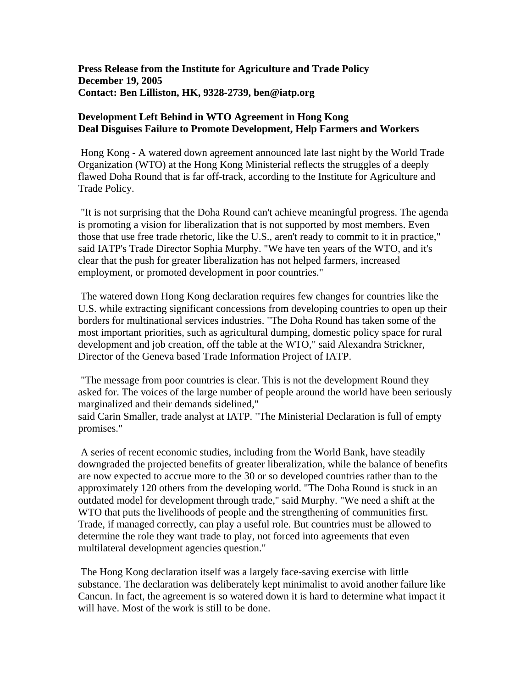**Press Release from the Institute for Agriculture and Trade Policy December 19, 2005 Contact: Ben Lilliston, HK, 9328-2739, ben@iatp.org** 

## **Development Left Behind in WTO Agreement in Hong Kong Deal Disguises Failure to Promote Development, Help Farmers and Workers**

 Hong Kong - A watered down agreement announced late last night by the World Trade Organization (WTO) at the Hong Kong Ministerial reflects the struggles of a deeply flawed Doha Round that is far off-track, according to the Institute for Agriculture and Trade Policy.

 "It is not surprising that the Doha Round can't achieve meaningful progress. The agenda is promoting a vision for liberalization that is not supported by most members. Even those that use free trade rhetoric, like the U.S., aren't ready to commit to it in practice," said IATP's Trade Director Sophia Murphy. "We have ten years of the WTO, and it's clear that the push for greater liberalization has not helped farmers, increased employment, or promoted development in poor countries."

 The watered down Hong Kong declaration requires few changes for countries like the U.S. while extracting significant concessions from developing countries to open up their borders for multinational services industries. "The Doha Round has taken some of the most important priorities, such as agricultural dumping, domestic policy space for rural development and job creation, off the table at the WTO," said Alexandra Strickner, Director of the Geneva based Trade Information Project of IATP.

 "The message from poor countries is clear. This is not the development Round they asked for. The voices of the large number of people around the world have been seriously marginalized and their demands sidelined,"

said Carin Smaller, trade analyst at IATP. "The Ministerial Declaration is full of empty promises."

 A series of recent economic studies, including from the World Bank, have steadily downgraded the projected benefits of greater liberalization, while the balance of benefits are now expected to accrue more to the 30 or so developed countries rather than to the approximately 120 others from the developing world. "The Doha Round is stuck in an outdated model for development through trade," said Murphy. "We need a shift at the WTO that puts the livelihoods of people and the strengthening of communities first. Trade, if managed correctly, can play a useful role. But countries must be allowed to determine the role they want trade to play, not forced into agreements that even multilateral development agencies question."

 The Hong Kong declaration itself was a largely face-saving exercise with little substance. The declaration was deliberately kept minimalist to avoid another failure like Cancun. In fact, the agreement is so watered down it is hard to determine what impact it will have. Most of the work is still to be done.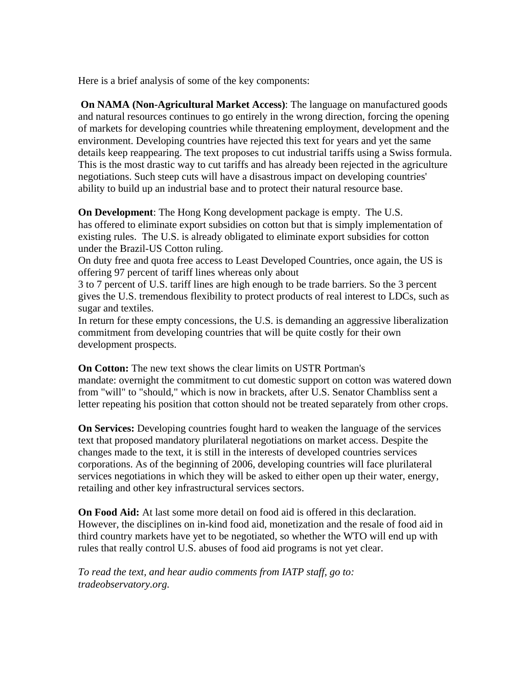Here is a brief analysis of some of the key components:

 **On NAMA (Non-Agricultural Market Access)**: The language on manufactured goods and natural resources continues to go entirely in the wrong direction, forcing the opening of markets for developing countries while threatening employment, development and the environment. Developing countries have rejected this text for years and yet the same details keep reappearing. The text proposes to cut industrial tariffs using a Swiss formula. This is the most drastic way to cut tariffs and has already been rejected in the agriculture negotiations. Such steep cuts will have a disastrous impact on developing countries' ability to build up an industrial base and to protect their natural resource base.

**On Development**: The Hong Kong development package is empty. The U.S. has offered to eliminate export subsidies on cotton but that is simply implementation of existing rules. The U.S. is already obligated to eliminate export subsidies for cotton under the Brazil-US Cotton ruling.

On duty free and quota free access to Least Developed Countries, once again, the US is offering 97 percent of tariff lines whereas only about

3 to 7 percent of U.S. tariff lines are high enough to be trade barriers. So the 3 percent gives the U.S. tremendous flexibility to protect products of real interest to LDCs, such as sugar and textiles.

In return for these empty concessions, the U.S. is demanding an aggressive liberalization commitment from developing countries that will be quite costly for their own development prospects.

**On Cotton:** The new text shows the clear limits on USTR Portman's mandate: overnight the commitment to cut domestic support on cotton was watered down from "will" to "should," which is now in brackets, after U.S. Senator Chambliss sent a letter repeating his position that cotton should not be treated separately from other crops.

**On Services:** Developing countries fought hard to weaken the language of the services text that proposed mandatory plurilateral negotiations on market access. Despite the changes made to the text, it is still in the interests of developed countries services corporations. As of the beginning of 2006, developing countries will face plurilateral services negotiations in which they will be asked to either open up their water, energy, retailing and other key infrastructural services sectors.

**On Food Aid:** At last some more detail on food aid is offered in this declaration. However, the disciplines on in-kind food aid, monetization and the resale of food aid in third country markets have yet to be negotiated, so whether the WTO will end up with rules that really control U.S. abuses of food aid programs is not yet clear.

*To read the text, and hear audio comments from IATP staff, go to: tradeobservatory.org.*